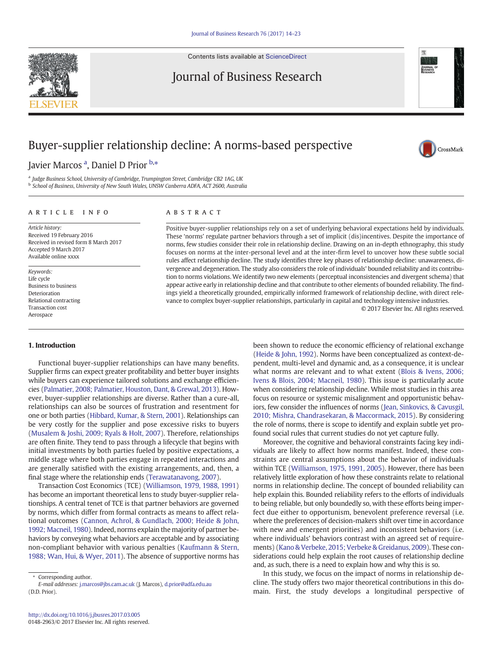Contents lists available at [ScienceDirect](http://www.sciencedirect.com/science/journal/01482963)



Journal of Business Research



CrossMark

# Buyer-supplier relationship decline: A norms-based perspective

Javier Marcos <sup>a</sup>, Daniel D Prior <sup>b,</sup>\*

<sup>a</sup> Judge Business School, University of Cambridge, Trumpington Street, Cambridge CB2 1AG, UK b School of Business, University of New South Wales, UNSW Canberra ADFA, ACT 2600, Australia

# article info abstract

Article history: Received 19 February 2016 Received in revised form 8 March 2017 Accepted 9 March 2017 Available online xxxx

Keywords: Life cycle Business to business Deterioration Relational contracting Transaction cost Aerospace

# 1. Introduction

Functional buyer-supplier relationships can have many benefits. Supplier firms can expect greater profitability and better buyer insights while buyers can experience tailored solutions and exchange efficiencies [\(Palmatier, 2008; Palmatier, Houston, Dant, & Grewal, 2013\)](#page-9-0). However, buyer-supplier relationships are diverse. Rather than a cure-all, relationships can also be sources of frustration and resentment for one or both parties [\(Hibbard, Kumar, & Stern, 2001](#page-9-0)). Relationships can be very costly for the supplier and pose excessive risks to buyers [\(Musalem & Joshi, 2009; Ryals & Holt, 2007\)](#page-9-0). Therefore, relationships are often finite. They tend to pass through a lifecycle that begins with initial investments by both parties fueled by positive expectations, a middle stage where both parties engage in repeated interactions and are generally satisfied with the existing arrangements, and, then, a final stage where the relationship ends [\(Terawatanavong, 2007](#page-9-0)).

Transaction Cost Economics (TCE) [\(Williamson, 1979, 1988, 1991](#page-9-0)) has become an important theoretical lens to study buyer-supplier relationships. A central tenet of TCE is that partner behaviors are governed by norms, which differ from formal contracts as means to affect relational outcomes ([Cannon, Achrol, & Gundlach, 2000; Heide & John,](#page-9-0) [1992; Macneil, 1980](#page-9-0)). Indeed, norms explain the majority of partner behaviors by conveying what behaviors are acceptable and by associating non-compliant behavior with various penalties ([Kaufmann & Stern,](#page-9-0) [1988; Wan, Hui, & Wyer, 2011\)](#page-9-0). The absence of supportive norms has

⁎ Corresponding author.

Positive buyer-supplier relationships rely on a set of underlying behavioral expectations held by individuals. These 'norms' regulate partner behaviors through a set of implicit (dis)incentives. Despite the importance of norms, few studies consider their role in relationship decline. Drawing on an in-depth ethnography, this study focuses on norms at the inter-personal level and at the inter-firm level to uncover how these subtle social rules affect relationship decline. The study identifies three key phases of relationship decline: unawareness, divergence and degeneration. The study also considers the role of individuals' bounded reliability and its contribution to norms violations. We identify two new elements (perceptual inconsistencies and divergent schema) that appear active early in relationship decline and that contribute to other elements of bounded reliability. The findings yield a theoretically grounded, empirically informed framework of relationship decline, with direct relevance to complex buyer-supplier relationships, particularly in capital and technology intensive industries.

© 2017 Elsevier Inc. All rights reserved.

been shown to reduce the economic efficiency of relational exchange [\(Heide & John, 1992\)](#page-9-0). Norms have been conceptualized as context-dependent, multi-level and dynamic and, as a consequence, it is unclear what norms are relevant and to what extent ([Blois & Ivens, 2006;](#page-8-0) [Ivens & Blois, 2004; Macneil, 1980](#page-8-0)). This issue is particularly acute when considering relationship decline. While most studies in this area focus on resource or systemic misalignment and opportunistic behaviors, few consider the influences of norms [\(Jean, Sinkovics, & Cavusgil,](#page-9-0) [2010; Mishra, Chandrasekaran, & Maccormack, 2015\)](#page-9-0). By considering the role of norms, there is scope to identify and explain subtle yet profound social rules that current studies do not yet capture fully.

Moreover, the cognitive and behavioral constraints facing key individuals are likely to affect how norms manifest. Indeed, these constraints are central assumptions about the behavior of individuals within TCE [\(Williamson, 1975, 1991, 2005\)](#page-9-0). However, there has been relatively little exploration of how these constraints relate to relational norms in relationship decline. The concept of bounded reliability can help explain this. Bounded reliability refers to the efforts of individuals to being reliable, but only boundedly so, with these efforts being imperfect due either to opportunism, benevolent preference reversal (i.e. where the preferences of decision-makers shift over time in accordance with new and emergent priorities) and inconsistent behaviors (i.e. where individuals' behaviors contrast with an agreed set of requirements) [\(Kano & Verbeke, 2015; Verbeke & Greidanus, 2009](#page-9-0)). These considerations could help explain the root causes of relationship decline and, as such, there is a need to explain how and why this is so.

In this study, we focus on the impact of norms in relationship decline. The study offers two major theoretical contributions in this domain. First, the study develops a longitudinal perspective of

E-mail addresses: j.marcos@jbs.cam.ac.uk (J. Marcos), [d.prior@adfa.edu.au](mailto:d.prior@adfa.edu.au) (D.D. Prior).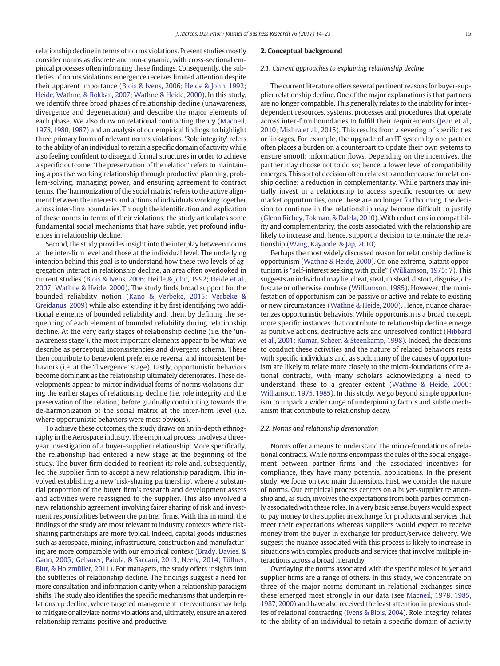relationship decline in terms of norms violations. Present studies mostly consider norms as discrete and non-dynamic, with cross-sectional empirical processes often informing these findings. Consequently, the subtleties of norms violations emergence receives limited attention despite their apparent importance ([Blois & Ivens, 2006; Heide & John, 1992;](#page-8-0) [Heide, Wathne, & Rokkan, 2007; Wathne & Heide, 2000](#page-8-0)). In this study, we identify three broad phases of relationship decline (unawareness, divergence and degeneration) and describe the major elements of each phase. We also draw on relational contracting theory ([Macneil,](#page-9-0) [1978, 1980, 1987\)](#page-9-0) and an analysis of our empirical findings, to highlight three primary forms of relevant norms violations. 'Role integrity' refers to the ability of an individual to retain a specific domain of activity while also feeling confident to disregard formal structures in order to achieve a specific outcome. 'The preservation of the relation' refers to maintaining a positive working relationship through productive planning, problem-solving, managing power, and ensuring agreement to contract terms. The 'harmonization of the social matrix' refers to the active alignment between the interests and actions of individuals working together across inter-firm boundaries. Through the identification and explication of these norms in terms of their violations, the study articulates some fundamental social mechanisms that have subtle, yet profound influences in relationship decline.

Second, the study provides insight into the interplay between norms at the inter-firm level and those at the individual level. The underlying intention behind this goal is to understand how these two levels of aggregation interact in relationship decline, an area often overlooked in current studies ([Blois & Ivens, 2006; Heide & John, 1992; Heide et al.,](#page-8-0) [2007; Wathne & Heide, 2000\)](#page-8-0). The study finds broad support for the bounded reliability notion ([Kano & Verbeke, 2015; Verbeke &](#page-9-0) [Greidanus, 2009\)](#page-9-0) while also extending it by first identifying two additional elements of bounded reliability and, then, by defining the sequencing of each element of bounded reliability during relationship decline. At the very early stages of relationship decline (i.e. the 'unawareness stage'), the most important elements appear to be what we describe as perceptual inconsistencies and divergent schema. These then contribute to benevolent preference reversal and inconsistent behaviors (i.e. at the 'divergence' stage). Lastly, opportunistic behaviors become dominant as the relationship ultimately deteriorates. These developments appear to mirror individual forms of norms violations during the earlier stages of relationship decline (i.e. role integrity and the preservation of the relation) before gradually contributing towards the de-harmonization of the social matrix at the inter-firm level (i.e. where opportunistic behaviors were most obvious).

To achieve these outcomes, the study draws on an in-depth ethnography in the Aerospace industry. The empirical process involves a threeyear investigation of a buyer-supplier relationship. More specifically, the relationship had entered a new stage at the beginning of the study. The buyer firm decided to reorient its role and, subsequently, led the supplier firm to accept a new relationship paradigm. This involved establishing a new 'risk-sharing partnership', where a substantial proportion of the buyer firm's research and development assets and activities were reassigned to the supplier. This also involved a new relationship agreement involving fairer sharing of risk and investment responsibilities between the partner firms. With this in mind, the findings of the study are most relevant to industry contexts where risksharing partnerships are more typical. Indeed, capital goods industries such as aerospace, mining, infrastructure, construction and manufacturing are more comparable with our empirical context ([Brady, Davies, &](#page-8-0) [Gann, 2005; Gebauer, Paiola, & Saccani, 2013; Neely, 2014; Töllner,](#page-8-0) [Blut, & Holzmüller, 2011\)](#page-8-0). For managers, the study offers insights into the subtleties of relationship decline. The findings suggest a need for more consultation and information clarity when a relationship paradigm shifts. The study also identifies the specific mechanisms that underpin relationship decline, where targeted management interventions may help to mitigate or alleviate norms violations and, ultimately, ensure an altered relationship remains positive and productive.

#### 2. Conceptual background

#### 2.1. Current approaches to explaining relationship decline

The current literature offers several pertinent reasons for buyer-supplier relationship decline. One of the major explanations is that partners are no longer compatible. This generally relates to the inability for interdependent resources, systems, processes and procedures that operate across inter-firm boundaries to fulfill their requirements [\(Jean et al.,](#page-9-0) [2010; Mishra et al., 2015\)](#page-9-0). This results from a severing of specific ties or linkages. For example, the upgrade of an IT system by one partner often places a burden on a counterpart to update their own systems to ensure smooth information flows. Depending on the incentives, the partner may choose not to do so; hence, a lower level of compatibility emerges. This sort of decision often relates to another cause for relationship decline: a reduction in complementarity. While partners may initially invest in a relationship to access specific resources or new market opportunities, once these are no longer forthcoming, the decision to continue in the relationship may become difficult to justify [\(Glenn Richey, Tokman, & Dalela, 2010](#page-9-0)). With reductions in compatibility and complementarity, the costs associated with the relationship are likely to increase and, hence, support a decision to terminate the relationship [\(Wang, Kayande, & Jap, 2010](#page-9-0)).

Perhaps the most widely discussed reason for relationship decline is opportunism [\(Wathne & Heide, 2000](#page-9-0)). On one extreme, blatant opportunism is "self-interest seeking with guile" ([Williamson, 1975](#page-9-0): 7). This suggests an individual may lie, cheat, steal, mislead, distort, disguise, obfuscate or otherwise confuse [\(Williamson, 1985](#page-9-0)). However, the manifestation of opportunism can be passive or active and relate to existing or new circumstances ([Wathne & Heide, 2000](#page-9-0)). Hence, nuance characterizes opportunistic behaviors. While opportunism is a broad concept, more specific instances that contribute to relationship decline emerge as punitive actions, destructive acts and unresolved conflict [\(Hibbard](#page-9-0) [et al., 2001; Kumar, Scheer, & Steenkamp, 1998](#page-9-0)). Indeed, the decisions to conduct these activities and the nature of related behaviors rests with specific individuals and, as such, many of the causes of opportunism are likely to relate more closely to the micro-foundations of relational contracts, with many scholars acknowledging a need to understand these to a greater extent [\(Wathne & Heide, 2000;](#page-9-0) [Williamson, 1975, 1985](#page-9-0)). In this study, we go beyond simple opportunism to unpack a wider range of underpinning factors and subtle mechanism that contribute to relationship decay.

#### 2.2. Norms and relationship deterioration

Norms offer a means to understand the micro-foundations of relational contracts. While norms encompass the rules of the social engagement between partner firms and the associated incentives for compliance, they have many potential applications. In the present study, we focus on two main dimensions. First, we consider the nature of norms. Our empirical process centers on a buyer-supplier relationship and, as such, involves the expectations from both parties commonly associated with these roles. In a very basic sense, buyers would expect to pay money to the supplier in exchange for products and services that meet their expectations whereas suppliers would expect to receive money from the buyer in exchange for product/service delivery. We suggest the nuance associated with this process is likely to increase in situations with complex products and services that involve multiple interactions across a broad hierarchy.

Overlaying the norms associated with the specific roles of buyer and supplier firms are a range of others. In this study, we concentrate on three of the major norms dominant in relational exchanges since these emerged most strongly in our data (see [Macneil, 1978, 1985,](#page-9-0) [1987, 2000\)](#page-9-0) and have also received the least attention in previous studies of relational contracting [\(Ivens & Blois, 2004](#page-9-0)). Role integrity relates to the ability of an individual to retain a specific domain of activity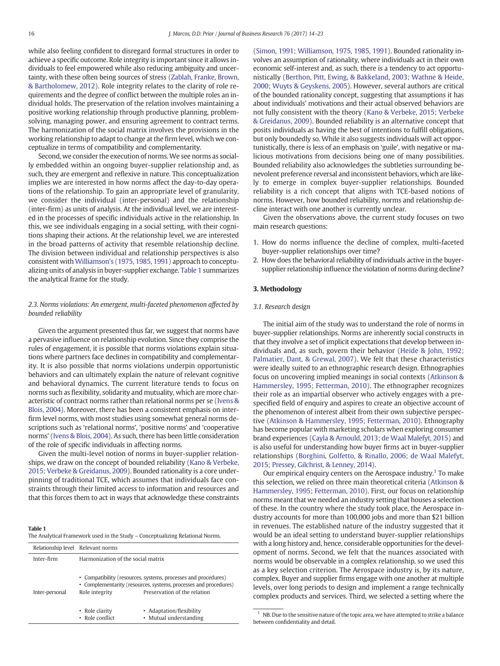while also feeling confident to disregard formal structures in order to achieve a specific outcome. Role integrity is important since it allows individuals to feel empowered while also reducing ambiguity and uncertainty, with these often being sources of stress [\(Zablah, Franke, Brown,](#page-9-0) [& Bartholomew, 2012](#page-9-0)). Role integrity relates to the clarity of role requirements and the degree of conflict between the multiple roles an individual holds. The preservation of the relation involves maintaining a positive working relationship through productive planning, problemsolving, managing power, and ensuring agreement to contract terms. The harmonization of the social matrix involves the provisions in the working relationship to adapt to change at the firm level, which we conceptualize in terms of compatibility and complementarity.

Second, we consider the execution of norms. We see norms as socially embedded within an ongoing buyer-supplier relationship and, as such, they are emergent and reflexive in nature. This conceptualization implies we are interested in how norms affect the day-to-day operations of the relationship. To gain an appropriate level of granularity, we consider the individual (inter-personal) and the relationship (inter-firm) as units of analysis. At the individual level, we are interested in the processes of specific individuals active in the relationship. In this, we see individuals engaging in a social setting, with their cognitions shaping their actions. At the relationship level, we are interested in the broad patterns of activity that resemble relationship decline. The division between individual and relationship perspectives is also consistent with [Williamson's \(1975, 1985, 1991\)](#page-9-0) approach to conceptualizing units of analysis in buyer-supplier exchange. Table 1 summarizes the analytical frame for the study.

# 2.3. Norms violations: An emergent, multi-faceted phenomenon affected by bounded reliability

Given the argument presented thus far, we suggest that norms have a pervasive influence on relationship evolution. Since they comprise the rules of engagement, it is possible that norms violations explain situations where partners face declines in compatibility and complementarity. It is also possible that norms violations underpin opportunistic behaviors and can ultimately explain the nature of relevant cognitive and behavioral dynamics. The current literature tends to focus on norms such as flexibility, solidarity and mutuality, which are more characteristic of contract norms rather than relational norms per se ([Ivens &](#page-9-0) [Blois, 2004](#page-9-0)). Moreover, there has been a consistent emphasis on interfirm level norms, with most studies using somewhat general norms descriptions such as 'relational norms', 'positive norms' and 'cooperative norms' [\(Ivens & Blois, 2004\)](#page-9-0). As such, there has been little consideration of the role of specific individuals in affecting norms.

Given the multi-level notion of norms in buyer-supplier relationships, we draw on the concept of bounded reliability [\(Kano & Verbeke,](#page-9-0) [2015; Verbeke & Greidanus, 2009\)](#page-9-0). Bounded rationality is a core underpinning of traditional TCE, which assumes that individuals face constraints through their limited access to information and resources and that this forces them to act in ways that acknowledge these constraints

Table 1

| The Analytical Framework used in the Study – Conceptualizing Relational Norms. |  |
|--------------------------------------------------------------------------------|--|
|--------------------------------------------------------------------------------|--|

| Relationship level Relevant norms |                                                                                                                                                                                      |                                                    |  |
|-----------------------------------|--------------------------------------------------------------------------------------------------------------------------------------------------------------------------------------|----------------------------------------------------|--|
| Inter-firm                        | Harmonization of the social matrix                                                                                                                                                   |                                                    |  |
| Inter-personal                    | • Compatibility (resources, systems, processes and procedures)<br>• Complementarity (resources, systems, processes and procedures)<br>Preservation of the relation<br>Role integrity |                                                    |  |
|                                   | • Role clarity<br>• Role conflict                                                                                                                                                    | • Adaptation/flexibility<br>• Mutual understanding |  |

[\(Simon, 1991; Williamson, 1975, 1985, 1991\)](#page-9-0). Bounded rationality involves an assumption of rationality, where individuals act in their own economic self-interest and, as such, there is a tendency to act opportunistically [\(Berthon, Pitt, Ewing, & Bakkeland, 2003; Wathne & Heide,](#page-8-0) [2000; Wuyts & Geyskens, 2005\)](#page-8-0). However, several authors are critical of the bounded rationality concept, suggesting that assumptions it has about individuals' motivations and their actual observed behaviors are not fully consistent with the theory [\(Kano & Verbeke, 2015; Verbeke](#page-9-0) [& Greidanus, 2009](#page-9-0)). Bounded reliability is an alternative concept that posits individuals as having the best of intentions to fulfill obligations, but only boundedly so. While it also suggests individuals will act opportunistically, there is less of an emphasis on 'guile', with negative or malicious motivations from decisions being one of many possibilities. Bounded reliability also acknowledges the subtleties surrounding benevolent preference reversal and inconsistent behaviors, which are likely to emerge in complex buyer-supplier relationships. Bounded reliability is a rich concept that aligns with TCE-based notions of norms. However, how bounded reliability, norms and relationship decline interact with one another is currently unclear.

Given the observations above, the current study focuses on two main research questions:

- 1. How do norms influence the decline of complex, multi-faceted buyer-supplier relationships over time?
- 2. How does the behavioral reliability of individuals active in the buyersupplier relationship influence the violation of norms during decline?

#### 3. Methodology

#### 3.1. Research design

The initial aim of the study was to understand the role of norms in buyer-supplier relationships. Norms are inherently social constructs in that they involve a set of implicit expectations that develop between individuals and, as such, govern their behavior [\(Heide & John, 1992;](#page-9-0) [Palmatier, Dant, & Grewal, 2007\)](#page-9-0). We felt that these characteristics were ideally suited to an ethnographic research design. Ethnographies focus on uncovering implied meanings in social contexts ([Atkinson &](#page-8-0) [Hammersley, 1995; Fetterman, 2010](#page-8-0)). The ethnographer recognizes their role as an impartial observer who actively engages with a prespecified field of enquiry and aspires to create an objective account of the phenomenon of interest albeit from their own subjective perspective [\(Atkinson & Hammersley, 1995; Fetterman, 2010\)](#page-8-0). Ethnography has become popular with marketing scholars when exploring consumer brand experiences [\(Cayla & Arnould, 2013; de Waal Malefyt, 2015](#page-9-0)) and is also useful for understanding how buyer firms act in buyer-supplier relationships ([Borghini, Golfetto, & Rinallo, 2006; de Waal Malefyt,](#page-8-0) [2015; Pressey, Gilchrist, & Lenney, 2014\)](#page-8-0).

Our empirical enquiry centers on the Aerospace industry.<sup>1</sup> To make this selection, we relied on three main theoretical criteria [\(Atkinson &](#page-8-0) [Hammersley, 1995; Fetterman, 2010\)](#page-8-0). First, our focus on relationship norms meant that we needed an industry setting that houses a selection of these. In the country where the study took place, the Aerospace industry accounts for more than 100,000 jobs and more than \$21 billion in revenues. The established nature of the industry suggested that it would be an ideal setting to understand buyer-supplier relationships with a long history and, hence, considerable opportunities for the development of norms. Second, we felt that the nuances associated with norms would be observable in a complex relationship, so we used this as a key selection criterion. The Aerospace industry is, by its nature, complex. Buyer and supplier firms engage with one another at multiple levels, over long periods to design and implement a range technically complex products and services. Third, we selected a setting where the

 $1$  NB. Due to the sensitive nature of the topic area, we have attempted to strike a balance between confidentiality and detail.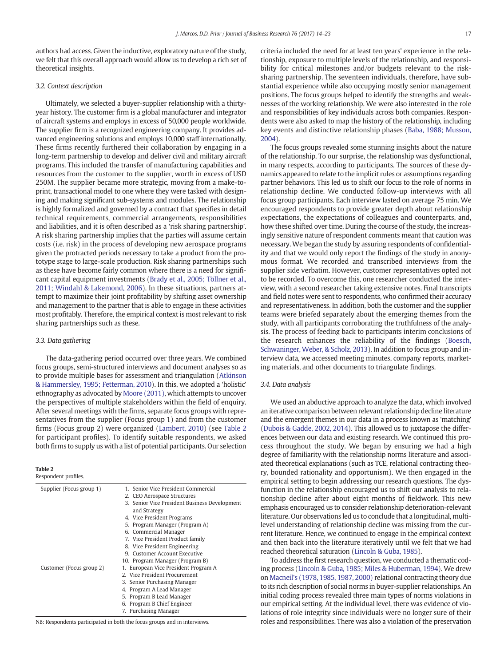<span id="page-3-0"></span>authors had access. Given the inductive, exploratory nature of the study, we felt that this overall approach would allow us to develop a rich set of theoretical insights.

#### 3.2. Context description

Ultimately, we selected a buyer-supplier relationship with a thirtyyear history. The customer firm is a global manufacturer and integrator of aircraft systems and employs in excess of 50,000 people worldwide. The supplier firm is a recognized engineering company. It provides advanced engineering solutions and employs 10,000 staff internationally. These firms recently furthered their collaboration by engaging in a long-term partnership to develop and deliver civil and military aircraft programs. This included the transfer of manufacturing capabilities and resources from the customer to the supplier, worth in excess of USD 250M. The supplier became more strategic, moving from a make-toprint, transactional model to one where they were tasked with designing and making significant sub-systems and modules. The relationship is highly formalized and governed by a contract that specifies in detail technical requirements, commercial arrangements, responsibilities and liabilities, and it is often described as a 'risk sharing partnership'. A risk sharing partnership implies that the parties will assume certain costs (i.e. risk) in the process of developing new aerospace programs given the protracted periods necessary to take a product from the prototype stage to large-scale production. Risk sharing partnerships such as these have become fairly common where there is a need for significant capital equipment investments ([Brady et al., 2005; Töllner et al.,](#page-8-0) [2011; Windahl & Lakemond, 2006](#page-8-0)). In these situations, partners attempt to maximize their joint profitability by shifting asset ownership and management to the partner that is able to engage in these activities most profitably. Therefore, the empirical context is most relevant to risk sharing partnerships such as these.

# 3.3. Data gathering

The data-gathering period occurred over three years. We combined focus groups, semi-structured interviews and document analyses so as to provide multiple bases for assessment and triangulation [\(Atkinson](#page-8-0) [& Hammersley, 1995; Fetterman, 2010](#page-8-0)). In this, we adopted a 'holistic' ethnography as advocated by [Moore \(2011\)](#page-9-0), which attempts to uncover the perspectives of multiple stakeholders within the field of enquiry. After several meetings with the firms, separate focus groups with representatives from the supplier (Focus group 1) and from the customer firms (Focus group 2) were organized [\(Lambert, 2010\)](#page-9-0) (see Table 2 for participant profiles). To identify suitable respondents, we asked both firms to supply us with a list of potential participants. Our selection

#### Table 2

Respondent profiles.

| Supplier (Focus group 1) | 1. Senior Vice President Commercial           |
|--------------------------|-----------------------------------------------|
|                          | 2. CEO Aerospace Structures                   |
|                          | 3. Senior Vice President Business Development |
|                          | and Strategy                                  |
|                          | 4. Vice President Programs                    |
|                          | 5. Program Manager (Program A)                |
|                          | 6. Commercial Manager                         |
|                          | 7. Vice President Product family              |
|                          | 8. Vice President Engineering                 |
|                          | 9. Customer Account Executive                 |
|                          | 10. Program Manager (Program B)               |
| Customer (Focus group 2) | 1. European Vice President Program A          |
|                          | 2. Vice President Procurement                 |
|                          | 3. Senior Purchasing Manager                  |
|                          | 4. Program A Lead Manager                     |
|                          | 5. Program B Lead Manager                     |
|                          | 6. Program B Chief Engineer                   |
|                          | 7. Purchasing Manager                         |

NB: Respondents participated in both the focus groups and in interviews.

criteria included the need for at least ten years' experience in the relationship, exposure to multiple levels of the relationship, and responsibility for critical milestones and/or budgets relevant to the risksharing partnership. The seventeen individuals, therefore, have substantial experience while also occupying mostly senior management positions. The focus groups helped to identify the strengths and weaknesses of the working relationship. We were also interested in the role and responsibilities of key individuals across both companies. Respondents were also asked to map the history of the relationship, including key events and distinctive relationship phases ([Baba, 1988; Musson,](#page-8-0) [2004](#page-8-0)).

The focus groups revealed some stunning insights about the nature of the relationship. To our surprise, the relationship was dysfunctional, in many respects, according to participants. The sources of these dynamics appeared to relate to the implicit rules or assumptions regarding partner behaviors. This led us to shift our focus to the role of norms in relationship decline. We conducted follow-up interviews with all focus group participants. Each interview lasted on average 75 min. We encouraged respondents to provide greater depth about relationship expectations, the expectations of colleagues and counterparts, and, how these shifted over time. During the course of the study, the increasingly sensitive nature of respondent comments meant that caution was necessary. We began the study by assuring respondents of confidentiality and that we would only report the findings of the study in anonymous format. We recorded and transcribed interviews from the supplier side verbatim. However, customer representatives opted not to be recorded. To overcome this, one researcher conducted the interview, with a second researcher taking extensive notes. Final transcripts and field notes were sent to respondents, who confirmed their accuracy and representativeness. In addition, both the customer and the supplier teams were briefed separately about the emerging themes from the study, with all participants corroborating the truthfulness of the analysis. The process of feeding back to participants interim conclusions of the research enhances the reliability of the findings ([Boesch,](#page-8-0) [Schwaninger, Weber, & Scholz, 2013](#page-8-0)). In addition to focus group and interview data, we accessed meeting minutes, company reports, marketing materials, and other documents to triangulate findings.

#### 3.4. Data analysis

We used an abductive approach to analyze the data, which involved an iterative comparison between relevant relationship decline literature and the emergent themes in our data in a process known as 'matching' [\(Dubois & Gadde, 2002, 2014\)](#page-9-0). This allowed us to juxtapose the differences between our data and existing research. We continued this process throughout the study. We began by ensuring we had a high degree of familiarity with the relationship norms literature and associated theoretical explanations (such as TCE, relational contracting theory, bounded rationality and opportunism). We then engaged in the empirical setting to begin addressing our research questions. The dysfunction in the relationship encouraged us to shift our analysis to relationship decline after about eight months of fieldwork. This new emphasis encouraged us to consider relationship deterioration-relevant literature. Our observations led us to conclude that a longitudinal, multilevel understanding of relationship decline was missing from the current literature. Hence, we continued to engage in the empirical context and then back into the literature iteratively until we felt that we had reached theoretical saturation [\(Lincoln & Guba, 1985\)](#page-9-0).

To address the first research question, we conducted a thematic coding process [\(Lincoln & Guba, 1985; Miles & Huberman, 1994\)](#page-9-0). We drew on [Macneil's \(1978, 1985, 1987, 2000\)](#page-9-0) relational contracting theory due to its rich description of social norms in buyer-supplier relationships. An initial coding process revealed three main types of norms violations in our empirical setting. At the individual level, there was evidence of violations of role integrity since individuals were no longer sure of their roles and responsibilities. There was also a violation of the preservation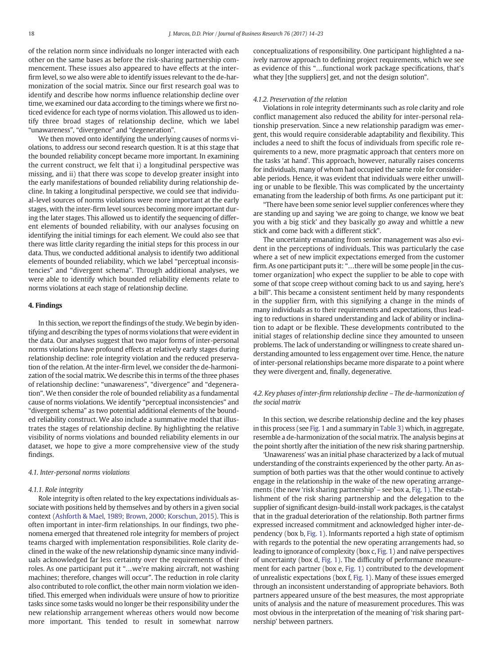of the relation norm since individuals no longer interacted with each other on the same bases as before the risk-sharing partnership commencement. These issues also appeared to have effects at the interfirm level, so we also were able to identify issues relevant to the de-harmonization of the social matrix. Since our first research goal was to identify and describe how norms influence relationship decline over time, we examined our data according to the timings where we first noticed evidence for each type of norms violation. This allowed us to identify three broad stages of relationship decline, which we label "unawareness", "divergence" and "degeneration".

We then moved onto identifying the underlying causes of norms violations, to address our second research question. It is at this stage that the bounded reliability concept became more important. In examining the current construct, we felt that i) a longitudinal perspective was missing, and ii) that there was scope to develop greater insight into the early manifestations of bounded reliability during relationship decline. In taking a longitudinal perspective, we could see that individual-level sources of norms violations were more important at the early stages, with the inter-firm level sources becoming more important during the later stages. This allowed us to identify the sequencing of different elements of bounded reliability, with our analyses focusing on identifying the initial timings for each element. We could also see that there was little clarity regarding the initial steps for this process in our data. Thus, we conducted additional analysis to identify two additional elements of bounded reliability, which we label "perceptual inconsistencies" and "divergent schema". Through additional analyses, we were able to identify which bounded reliability elements relate to norms violations at each stage of relationship decline.

#### 4. Findings

In this section, we report the findings of the study. We begin by identifying and describing the types of norms violations that were evident in the data. Our analyses suggest that two major forms of inter-personal norms violations have profound effects at relatively early stages during relationship decline: role integrity violation and the reduced preservation of the relation. At the inter-firm level, we consider the de-harmonization of the social matrix. We describe this in terms of the three phases of relationship decline: "unawareness", "divergence" and "degeneration". We then consider the role of bounded reliability as a fundamental cause of norms violations. We identify "perceptual inconsistencies" and "divergent schema" as two potential additional elements of the bounded reliability construct. We also include a summative model that illustrates the stages of relationship decline. By highlighting the relative visibility of norms violations and bounded reliability elements in our dataset, we hope to give a more comprehensive view of the study findings.

#### 4.1. Inter-personal norms violations

#### 4.1.1. Role integrity

Role integrity is often related to the key expectations individuals associate with positions held by themselves and by others in a given social context [\(Ashforth & Mael, 1989; Brown, 2000; Korschun, 2015](#page-8-0)). This is often important in inter-firm relationships. In our findings, two phenomena emerged that threatened role integrity for members of project teams charged with implementation responsibilities. Role clarity declined in the wake of the new relationship dynamic since many individuals acknowledged far less certainty over the requirements of their roles. As one participant put it "…we're making aircraft, not washing machines; therefore, changes will occur". The reduction in role clarity also contributed to role conflict, the other main norm violation we identified. This emerged when individuals were unsure of how to prioritize tasks since some tasks would no longer be their responsibility under the new relationship arrangement whereas others would now become more important. This tended to result in somewhat narrow conceptualizations of responsibility. One participant highlighted a naively narrow approach to defining project requirements, which we see as evidence of this "…functional work package specifications, that's what they [the suppliers] get, and not the design solution".

#### 4.1.2. Preservation of the relation

Violations in role integrity determinants such as role clarity and role conflict management also reduced the ability for inter-personal relationship preservation. Since a new relationship paradigm was emergent, this would require considerable adaptability and flexibility. This includes a need to shift the focus of individuals from specific role requirements to a new, more pragmatic approach that centers more on the tasks 'at hand'. This approach, however, naturally raises concerns for individuals, many of whom had occupied the same role for considerable periods. Hence, it was evident that individuals were either unwilling or unable to be flexible. This was complicated by the uncertainty emanating from the leadership of both firms. As one participant put it:

"There have been some senior level supplier conferences where they are standing up and saying 'we are going to change, we know we beat you with a big stick' and they basically go away and whittle a new stick and come back with a different stick".

The uncertainty emanating from senior management was also evident in the perceptions of individuals. This was particularly the case where a set of new implicit expectations emerged from the customer firm. As one participant puts it: "...there will be some people [in the customer organization] who expect the supplier to be able to cope with some of that scope creep without coming back to us and saying, here's a bill". This became a consistent sentiment held by many respondents in the supplier firm, with this signifying a change in the minds of many individuals as to their requirements and expectations, thus leading to reductions in shared understanding and lack of ability or inclination to adapt or be flexible. These developments contributed to the initial stages of relationship decline since they amounted to unseen problems. The lack of understanding or willingness to create shared understanding amounted to less engagement over time. Hence, the nature of inter-personal relationships became more disparate to a point where they were divergent and, finally, degenerative.

### 4.2. Key phases of inter-firm relationship decline – The de-harmonization of the social matrix

In this section, we describe relationship decline and the key phases in this process (see [Fig. 1](#page-5-0) and a summary in [Table 3\)](#page-5-0) which, in aggregate, resemble a de-harmonization of the social matrix. The analysis begins at the point shortly after the initiation of the new risk sharing partnership.

'Unawareness' was an initial phase characterized by a lack of mutual understanding of the constraints experienced by the other party. An assumption of both parties was that the other would continue to actively engage in the relationship in the wake of the new operating arrangements (the new 'risk sharing partnership' – see box a, [Fig. 1](#page-5-0)). The establishment of the risk sharing partnership and the delegation to the supplier of significant design-build-install work packages, is the catalyst that in the gradual deterioration of the relationship. Both partner firms expressed increased commitment and acknowledged higher inter-dependency (box b, [Fig. 1](#page-5-0)). Informants reported a high state of optimism with regards to the potential the new operating arrangements had, so leading to ignorance of complexity (box c, [Fig. 1\)](#page-5-0) and naïve perspectives of uncertainty (box d, [Fig. 1\)](#page-5-0). The difficulty of performance measurement for each partner (box e, [Fig. 1\)](#page-5-0) contributed to the development of unrealistic expectations (box f, [Fig. 1](#page-5-0)). Many of these issues emerged through an inconsistent understanding of appropriate behaviors. Both partners appeared unsure of the best measures, the most appropriate units of analysis and the nature of measurement procedures. This was most obvious in the interpretation of the meaning of 'risk sharing partnership' between partners.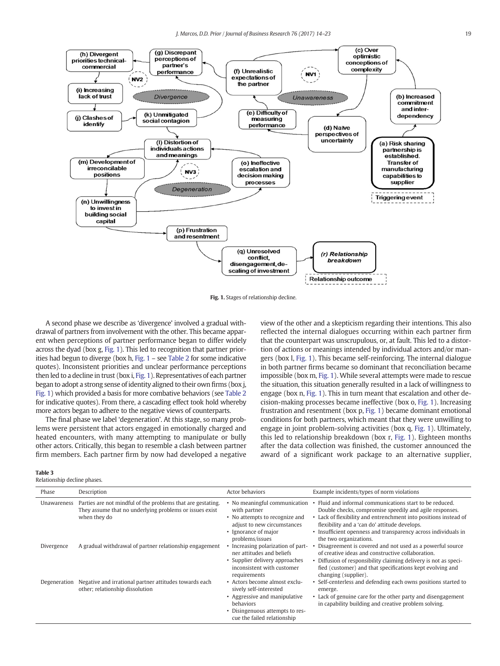<span id="page-5-0"></span>

Fig. 1. Stages of relationship decline.

A second phase we describe as 'divergence' involved a gradual withdrawal of partners from involvement with the other. This became apparent when perceptions of partner performance began to differ widely across the dyad (box g, Fig. 1). This led to recognition that partner priorities had begun to diverge (box h, Fig. 1 – see [Table 2](#page-3-0) for some indicative quotes). Inconsistent priorities and unclear performance perceptions then led to a decline in trust (box i, Fig. 1). Representatives of each partner began to adopt a strong sense of identity aligned to their own firms (box j, Fig. 1) which provided a basis for more combative behaviors (see [Table 2](#page-3-0) for indicative quotes). From there, a cascading effect took hold whereby more actors began to adhere to the negative views of counterparts.

The final phase we label 'degeneration'. At this stage, so many problems were persistent that actors engaged in emotionally charged and heated encounters, with many attempting to manipulate or bully other actors. Critically, this began to resemble a clash between partner firm members. Each partner firm by now had developed a negative view of the other and a skepticism regarding their intentions. This also reflected the internal dialogues occurring within each partner firm that the counterpart was unscrupulous, or, at fault. This led to a distortion of actions or meanings intended by individual actors and/or mangers (box l, Fig. 1). This became self-reinforcing. The internal dialogue in both partner firms became so dominant that reconciliation became impossible (box m, Fig. 1). While several attempts were made to rescue the situation, this situation generally resulted in a lack of willingness to engage (box n, Fig. 1). This in turn meant that escalation and other decision-making processes became ineffective (box o, Fig. 1). Increasing frustration and resentment (box p, Fig. 1) became dominant emotional conditions for both partners, which meant that they were unwilling to engage in joint problem-solving activities (box q, Fig. 1). Ultimately, this led to relationship breakdown (box r, Fig. 1). Eighteen months after the data collection was finished, the customer announced the award of a significant work package to an alternative supplier,

#### Table 3

Relationship decline phases.

| Phase        | Description                                                                                                                            | Actor behaviors                                                                                                                                                         | Example incidents/types of norm violations                                                                                                                                                                                                                                                                                         |
|--------------|----------------------------------------------------------------------------------------------------------------------------------------|-------------------------------------------------------------------------------------------------------------------------------------------------------------------------|------------------------------------------------------------------------------------------------------------------------------------------------------------------------------------------------------------------------------------------------------------------------------------------------------------------------------------|
| Unawareness  | Parties are not mindful of the problems that are gestating.<br>They assume that no underlying problems or issues exist<br>when they do | • No meaningful communication<br>with partner<br>• No attempts to recognize and<br>adjust to new circumstances<br>• Ignorance of major<br>problems/issues               | Fluid and informal communications start to be reduced.<br>Double checks, compromise speedily and agile responses.<br>• Lack of flexibility and entrenchment into positions instead of<br>flexibility and a 'can do' attitude develops.<br>• Insufficient openness and transparency across individuals in<br>the two organizations. |
| Divergence   | A gradual withdrawal of partner relationship engagement                                                                                | Increasing polarization of part-<br>ner attitudes and beliefs<br>• Supplier delivery approaches<br>inconsistent with customer<br>requirements                           | Disagreement is covered and not used as a powerful source<br>of creative ideas and constructive collaboration.<br>• Diffusion of responsibility claiming delivery is not as speci-<br>fied (customer) and that specifications kept evolving and<br>changing (supplier).                                                            |
| Degeneration | Negative and irrational partner attitudes towards each<br>other; relationship dissolution                                              | • Actors become almost exclu-<br>sively self-interested<br>• Aggressive and manipulative<br>behaviors<br>• Disingenuous attempts to res-<br>cue the failed relationship | • Self-centerless and defending each owns positions started to<br>emerge.<br>• Lack of genuine care for the other party and disengagement<br>in capability building and creative problem solving.                                                                                                                                  |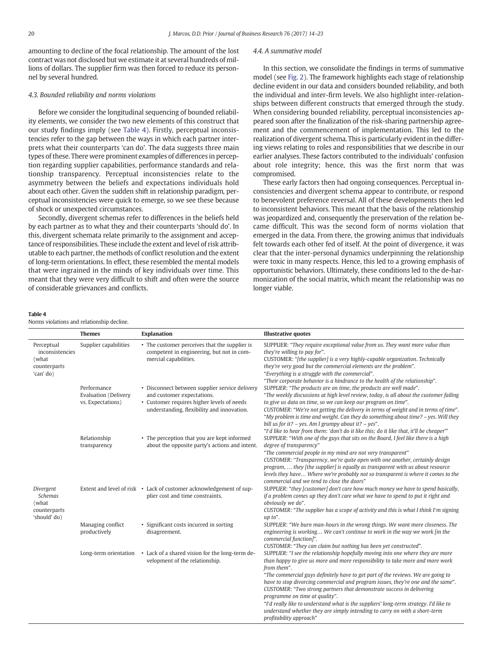amounting to decline of the focal relationship. The amount of the lost contract was not disclosed but we estimate it at several hundreds of millions of dollars. The supplier firm was then forced to reduce its personnel by several hundred.

#### 4.3. Bounded reliability and norms violations

Before we consider the longitudinal sequencing of bounded reliability elements, we consider the two new elements of this construct that our study findings imply (see Table 4). Firstly, perceptual inconsistencies refer to the gap between the ways in which each partner interprets what their counterparts 'can do'. The data suggests three main types of these. There were prominent examples of differences in perception regarding supplier capabilities, performance standards and relationship transparency. Perceptual inconsistencies relate to the asymmetry between the beliefs and expectations individuals hold about each other. Given the sudden shift in relationship paradigm, perceptual inconsistencies were quick to emerge, so we see these because of shock or unexpected circumstances.

Secondly, divergent schemas refer to differences in the beliefs held by each partner as to what they and their counterparts 'should do'. In this, divergent schemata relate primarily to the assignment and acceptance of responsibilities. These include the extent and level of risk attributable to each partner, the methods of conflict resolution and the extent of long-term orientations. In effect, these resembled the mental models that were ingrained in the minds of key individuals over time. This meant that they were very difficult to shift and often were the source of considerable grievances and conflicts.

#### Table 4

.<br>Note text violations and relationship detailed

#### 4.4. A summative model

In this section, we consolidate the findings in terms of summative model (see [Fig. 2\)](#page-7-0). The framework highlights each stage of relationship decline evident in our data and considers bounded reliability, and both the individual and inter-firm levels. We also highlight inter-relationships between different constructs that emerged through the study. When considering bounded reliability, perceptual inconsistencies appeared soon after the finalization of the risk-sharing partnership agreement and the commencement of implementation. This led to the realization of divergent schema. This is particularly evident in the differing views relating to roles and responsibilities that we describe in our earlier analyses. These factors contributed to the individuals' confusion about role integrity; hence, this was the first norm that was compromised.

These early factors then had ongoing consequences. Perceptual inconsistencies and divergent schema appear to contribute, or respond to benevolent preference reversal. All of these developments then led to inconsistent behaviors. This meant that the basis of the relationship was jeopardized and, consequently the preservation of the relation became difficult. This was the second form of norms violation that emerged in the data. From there, the growing animus that individuals felt towards each other fed of itself. At the point of divergence, it was clear that the inter-personal dynamics underpinning the relationship were toxic in many respects. Hence, this led to a growing emphasis of opportunistic behaviors. Ultimately, these conditions led to the de-harmonization of the social matrix, which meant the relationship was no longer viable.

|                                                                     | <b>Themes</b>                                                   | <b>Explanation</b>                                                                                                                                                       | <b>Illustrative quotes</b>                                                                                                                                                                                                                                                                                                                                                                                                                                                                                                                                                                                                                                           |
|---------------------------------------------------------------------|-----------------------------------------------------------------|--------------------------------------------------------------------------------------------------------------------------------------------------------------------------|----------------------------------------------------------------------------------------------------------------------------------------------------------------------------------------------------------------------------------------------------------------------------------------------------------------------------------------------------------------------------------------------------------------------------------------------------------------------------------------------------------------------------------------------------------------------------------------------------------------------------------------------------------------------|
| Perceptual<br>inconsistencies<br>(what<br>counterparts<br>'can' do) | Supplier capabilities                                           | • The customer perceives that the supplier is<br>competent in engineering, but not in com-<br>mercial capabilities.                                                      | SUPPLIER: "They require exceptional value from us. They want more value than<br>they're willing to pay for".<br>CUSTOMER: "[the supplier] is a very highly-capable organization. Technically<br>they're very good but the commercial elements are the problem".<br>"Everything is a struggle with the commercial".<br>"Their corporate behavior is a hindrance to the health of the relationship".                                                                                                                                                                                                                                                                   |
|                                                                     | Performance<br><b>Evaluation</b> (Delivery<br>vs. Expectations) | • Disconnect between supplier service delivery<br>and customer expectations.<br>• Customer requires higher levels of needs<br>understanding, flexibility and innovation. | SUPPLIER: "The products are on time, the products are well made".<br>"The weekly discussions at high level review, today, is all about the customer failing<br>to give us data on time, so we can keep our program on time".<br>CUSTOMER: "We're not getting the delivery in terms of weight and in terms of time".<br>"My problem is time and weight. Can they do something about time? - yes. Will they<br>bill us for it? $-$ yes. Am I grumpy about it? $-$ yes".<br>"I'd like to hear from them: 'don't do it like this; do it like that, it'll be cheaper""                                                                                                    |
|                                                                     | Relationship<br>transparency                                    | • The perception that you are kept informed<br>about the opposite party's actions and intent.                                                                            | SUPPLIER: "With one of the guys that sits on the Board, I feel like there is a high<br>degree of transparency"<br>"The commercial people in my mind are not very transparent"<br>CUSTOMER: "Transparency, we're quite open with one another, certainly design<br>program,  they [the supplier] is equally as transparent with us about resource<br>levels they have Where we're probably not so transparent is where it comes to the<br>commercial and we tend to close the doors"                                                                                                                                                                                   |
| Divergent<br>Schemas<br>(what<br>counterparts<br>'should' do)       |                                                                 | Extent and level of risk • Lack of customer acknowledgement of sup-<br>plier cost and time constraints.                                                                  | SUPPLIER: "they [customer] don't care how much money we have to spend basically,<br>if a problem comes up they don't care what we have to spend to put it right and<br>obviously we do".<br>CUSTOMER: "The supplier has a scope of activity and this is what I think I'm signing<br>up to".                                                                                                                                                                                                                                                                                                                                                                          |
|                                                                     | Managing conflict<br>productively                               | • Significant costs incurred in sorting<br>disagreement.                                                                                                                 | SUPPLIER: "We burn man-hours in the wrong things. We want more closeness. The<br>engineering is working We can't continue to work in the way we work [in the<br>commercial function]".<br>CUSTOMER: "They can claim but nothing has been yet constructed".                                                                                                                                                                                                                                                                                                                                                                                                           |
|                                                                     | Long-term orientation                                           | • Lack of a shared vision for the long-term de-<br>velopment of the relationship.                                                                                        | SUPPLIER: "I see the relationship hopefully moving into one where they are more<br>than happy to give us more and more responsibility to take more and more work<br>from them".<br>"The commercial guys definitely have to get part of the reviews. We are going to<br>have to stop divorcing commercial and program issues, they're one and the same".<br>CUSTOMER: "Two strong partners that demonstrate success in delivering<br>programme on time at quality".<br>"I'd really like to understand what is the suppliers' long-term strategy. I'd like to<br>understand whether they are simply intending to carry on with a short-term<br>profitability approach" |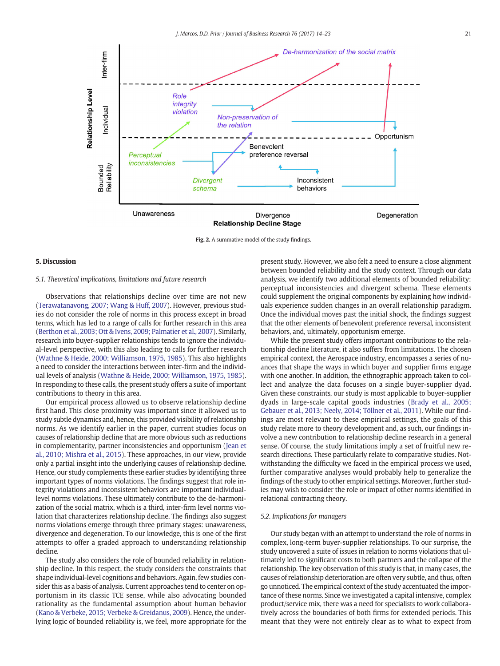<span id="page-7-0"></span>

Fig. 2. A summative model of the study findings.

#### 5. Discussion

#### 5.1. Theoretical implications, limitations and future research

Observations that relationships decline over time are not new [\(Terawatanavong, 2007; Wang & Huff, 2007\)](#page-9-0). However, previous studies do not consider the role of norms in this process except in broad terms, which has led to a range of calls for further research in this area [\(Berthon et al., 2003; Ott & Ivens, 2009; Palmatier et al., 2007\)](#page-8-0). Similarly, research into buyer-supplier relationships tends to ignore the individual-level perspective, with this also leading to calls for further research [\(Wathne & Heide, 2000; Williamson, 1975, 1985](#page-9-0)). This also highlights a need to consider the interactions between inter-firm and the individual levels of analysis ([Wathne & Heide, 2000; Williamson, 1975, 1985](#page-9-0)). In responding to these calls, the present study offers a suite of important contributions to theory in this area.

Our empirical process allowed us to observe relationship decline first hand. This close proximity was important since it allowed us to study subtle dynamics and, hence, this provided visibility of relationship norms. As we identify earlier in the paper, current studies focus on causes of relationship decline that are more obvious such as reductions in complementarity, partner inconsistencies and opportunism [\(Jean et](#page-9-0) [al., 2010; Mishra et al., 2015\)](#page-9-0). These approaches, in our view, provide only a partial insight into the underlying causes of relationship decline. Hence, our study complements these earlier studies by identifying three important types of norms violations. The findings suggest that role integrity violations and inconsistent behaviors are important individuallevel norms violations. These ultimately contribute to the de-harmonization of the social matrix, which is a third, inter-firm level norms violation that characterizes relationship decline. The findings also suggest norms violations emerge through three primary stages: unawareness, divergence and degeneration. To our knowledge, this is one of the first attempts to offer a graded approach to understanding relationship decline.

The study also considers the role of bounded reliability in relationship decline. In this respect, the study considers the constraints that shape individual-level cognitions and behaviors. Again, few studies consider this as a basis of analysis. Current approaches tend to center on opportunism in its classic TCE sense, while also advocating bounded rationality as the fundamental assumption about human behavior [\(Kano & Verbeke, 2015; Verbeke & Greidanus, 2009](#page-9-0)). Hence, the underlying logic of bounded reliability is, we feel, more appropriate for the present study. However, we also felt a need to ensure a close alignment between bounded reliability and the study context. Through our data analysis, we identify two additional elements of bounded reliability: perceptual inconsistencies and divergent schema. These elements could supplement the original components by explaining how individuals experience sudden changes in an overall relationship paradigm. Once the individual moves past the initial shock, the findings suggest that the other elements of benevolent preference reversal, inconsistent behaviors, and, ultimately, opportunism emerge.

While the present study offers important contributions to the relationship decline literature, it also suffers from limitations. The chosen empirical context, the Aerospace industry, encompasses a series of nuances that shape the ways in which buyer and supplier firms engage with one another. In addition, the ethnographic approach taken to collect and analyze the data focuses on a single buyer-supplier dyad. Given these constraints, our study is most applicable to buyer-supplier dyads in large-scale capital goods industries ([Brady et al., 2005;](#page-8-0) [Gebauer et al., 2013; Neely, 2014; Töllner et al., 2011\)](#page-8-0). While our findings are most relevant to these empirical settings, the goals of this study relate more to theory development and, as such, our findings involve a new contribution to relationship decline research in a general sense. Of course, the study limitations imply a set of fruitful new research directions. These particularly relate to comparative studies. Notwithstanding the difficulty we faced in the empirical process we used, further comparative analyses would probably help to generalize the findings of the study to other empirical settings. Moreover, further studies may wish to consider the role or impact of other norms identified in relational contracting theory.

#### 5.2. Implications for managers

Our study began with an attempt to understand the role of norms in complex, long-term buyer-supplier relationships. To our surprise, the study uncovered a suite of issues in relation to norms violations that ultimately led to significant costs to both partners and the collapse of the relationship. The key observation of this study is that, in many cases, the causes of relationship deterioration are often very subtle, and thus, often go unnoticed. The empirical context of the study accentuated the importance of these norms. Since we investigated a capital intensive, complex product/service mix, there was a need for specialists to work collaboratively across the boundaries of both firms for extended periods. This meant that they were not entirely clear as to what to expect from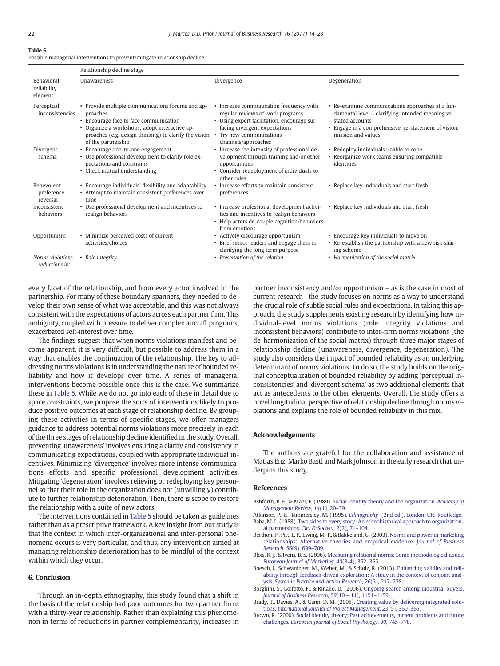#### <span id="page-8-0"></span>Table 5

Possible managerial interventions to prevent/mitigate relationship decline.

|                                             | Relationship decline stage                                                                                                                                                                                                             |                                                                                                                                                                                                            |                                                                                                                                                                                                       |  |
|---------------------------------------------|----------------------------------------------------------------------------------------------------------------------------------------------------------------------------------------------------------------------------------------|------------------------------------------------------------------------------------------------------------------------------------------------------------------------------------------------------------|-------------------------------------------------------------------------------------------------------------------------------------------------------------------------------------------------------|--|
| <b>Behavioral</b><br>reliability<br>element | <b>Unawareness</b>                                                                                                                                                                                                                     | Divergence                                                                                                                                                                                                 | Degeneration                                                                                                                                                                                          |  |
| Perceptual<br>inconsistencies               | • Provide multiple communications forums and ap-<br>proaches<br>• Encourage face to face communication<br>• Organize a workshops; adopt interactive ap-<br>proaches (e.g. design thinking) to clarify the vision<br>of the partnership | Increase communication frequency with<br>regular reviews of work programs<br>• Using expert facilitation, encourage sur-<br>facing divergent expectations<br>Try new communications<br>channels/approaches | • Re-examine communications approaches at a fun-<br>damental level - clarifying intended meaning vs.<br>stated accounts<br>• Engage in a comprehensive, re-statement of vision,<br>mission and values |  |
| Divergent<br>schema                         | • Encourage one-to-one engagement<br>• Use professional development to clarify role ex-<br>pectations and constrains<br>• Check mutual understanding                                                                                   | • Increase the intensity of professional de-<br>velopment through training and/or other<br>opportunities<br>• Consider redeployment of individuals to<br>other roles                                       | • Redeploy individuals unable to cope<br>Reorganize work teams ensuring compatible<br>identities                                                                                                      |  |
| Benevolent<br>preference<br>reversal        | • Encourage individuals' flexibility and adaptability<br>• Attempt to maintain consistent preferences over<br>time                                                                                                                     | • Increase efforts to maintain consistent<br>preferences                                                                                                                                                   | • Replace key individuals and start fresh                                                                                                                                                             |  |
| Inconsistent<br>behaviors                   | • Use professional development and incentives to<br>realign behaviors                                                                                                                                                                  | • Increase professional development activi-<br>ties and incentives to realign behaviors<br>• Help actors de-couple cognition/behaviors<br>from emotions                                                    | • Replace key individuals and start fresh                                                                                                                                                             |  |
| Opportunism                                 | • Minimize perceived costs of current<br>activities/choices                                                                                                                                                                            | • Actively discourage opportunism<br>• Brief senior leaders and engage them in<br>clarifying the long term purpose                                                                                         | • Encourage key individuals to move on<br>• Re-establish the partnership with a new risk shar-<br>ing scheme                                                                                          |  |
| Norms violations<br>reductions in:          | • Role integrity                                                                                                                                                                                                                       | • Preservation of the relation                                                                                                                                                                             | • Harmonization of the social matrix                                                                                                                                                                  |  |

every facet of the relationship, and from every actor involved in the partnership. For many of these boundary spanners, they needed to develop their own sense of what was acceptable, and this was not always consistent with the expectations of actors across each partner firm. This ambiguity, coupled with pressure to deliver complex aircraft programs, exacerbated self-interest over time.

The findings suggest that when norms violations manifest and become apparent, it is very difficult, but possible to address them in a way that enables the continuation of the relationship. The key to addressing norms violations is in understanding the nature of bounded reliability and how it develops over time. A series of managerial interventions become possible once this is the case. We summarize these in Table 5. While we do not go into each of these in detail due to space constraints, we propose the sorts of interventions likely to produce positive outcomes at each stage of relationship decline. By grouping these activities in terms of specific stages, we offer managers guidance to address potential norms violations more precisely in each of the three stages of relationship decline identified in the study. Overall, preventing 'unawareness' involves ensuring a clarity and consistency in communicating expectations, coupled with appropriate individual incentives. Minimizing 'divergence' involves more intense communications efforts and specific professional development activities. Mitigating 'degeneration' involves relieving or redeploying key personnel so that their role in the organization does not (unwillingly) contribute to further relationship deterioration. Then, there is scope to restore the relationship with a suite of new actors.

The interventions contained in Table 5 should be taken as guidelines rather than as a prescriptive framework. A key insight from our study is that the context in which inter-organizational and inter-personal phenomena occurs is very particular, and thus, any intervention aimed at managing relationship deterioration has to be mindful of the context within which they occur.

# 6. Conclusion

Through an in-depth ethnography, this study found that a shift in the basis of the relationship had poor outcomes for two partner firms with a thirty-year relationship. Rather than explaining this phenomenon in terms of reductions in partner complementarity, increases in

partner inconsistency and/or opportunism – as is the case in most of current research– the study focuses on norms as a way to understand the crucial role of subtle social rules and expectations. In taking this approach, the study supplements existing research by identifying how individual-level norms violations (role integrity violations and inconsistent behaviors) contribute to inter-firm norms violations (the de-harmonization of the social matrix) through three major stages of relationship decline (unawareness, divergence, degeneration). The study also considers the impact of bounded reliability as an underlying determinant of norms violations. To do so, the study builds on the original conceptualization of bounded reliability by adding 'perceptual inconsistencies' and 'divergent schema' as two additional elements that act as antecedents to the other elements. Overall, the study offers a novel longitudinal perspective of relationship decline through norms violations and explains the role of bounded reliability in this mix.

#### Acknowledgements

The authors are grateful for the collaboration and assistance of Matias Enz, Marko Bastl and Mark Johnson in the early research that underpins this study.

#### References

- Ashforth, B. E., & Mael, F. (1989). [Social identity theory and the organization.](http://refhub.elsevier.com/S0148-2963(17)30091-7/rf0005) Academy of [Management Review](http://refhub.elsevier.com/S0148-2963(17)30091-7/rf0005), 14(1), 20–39.
- Atkinson, P., & Hammersley, M. (1995). Ethnography [\(2nd ed.\). London, UK: Routledge.](http://refhub.elsevier.com/S0148-2963(17)30091-7/rf0010) Baba, M. L. (1988). [Two sides to every story: An ethnohistorical approach to organization-](http://refhub.elsevier.com/S0148-2963(17)30091-7/rf0015)
- [al partnerships.](http://refhub.elsevier.com/S0148-2963(17)30091-7/rf0015) City & Society,  $2(2)$ ,  $71-104$ .
- Berthon, P., Pitt, L. F., Ewing, M. T., & Bakkeland, G. (2003). [Norms and power in marketing](http://refhub.elsevier.com/S0148-2963(17)30091-7/rf0020) [relationships: Alternative theories and empirical evidence.](http://refhub.elsevier.com/S0148-2963(17)30091-7/rf0020) Journal of Business [Research](http://refhub.elsevier.com/S0148-2963(17)30091-7/rf0020), 56(9), 699–709.
- Blois, K. J., & Ivens, B. S. (2006). [Measuring relational norms: Some methodological issues.](http://refhub.elsevier.com/S0148-2963(17)30091-7/rf0025) [European Journal of Marketing](http://refhub.elsevier.com/S0148-2963(17)30091-7/rf0025), 40(3/4), 352–365.
- Boesch, I., Schwaninger, M., Weber, M., & Scholz, R. (2013). [Enhancing validity and reli](http://refhub.elsevier.com/S0148-2963(17)30091-7/rf0030)[ability through feedback-driven exploration: A study in the context of conjoint anal](http://refhub.elsevier.com/S0148-2963(17)30091-7/rf0030)ysis. [Systemic Practice and Action Research](http://refhub.elsevier.com/S0148-2963(17)30091-7/rf0030), 26(3), 217–238.
- Borghini, S., Golfetto, F., & Rinallo, D. (2006). [Ongoing search among industrial buyers.](http://refhub.elsevier.com/S0148-2963(17)30091-7/rf0035) [Journal of Business Research](http://refhub.elsevier.com/S0148-2963(17)30091-7/rf0035), 59(10−11), 1151–1159.
- Brady, T., Davies, A., & Gann, D. M. (2005). [Creating value by delivering integrated solu](http://refhub.elsevier.com/S0148-2963(17)30091-7/rf0040)tions. [International Journal of Project Management](http://refhub.elsevier.com/S0148-2963(17)30091-7/rf0040), 23(5), 360–365.
- Brown, R. (2000). [Social identity theory: Past achievements, current problems and future](http://refhub.elsevier.com/S0148-2963(17)30091-7/rf0045) challenges. [European Journal of Social Psychology](http://refhub.elsevier.com/S0148-2963(17)30091-7/rf0045), 30, 745–778.